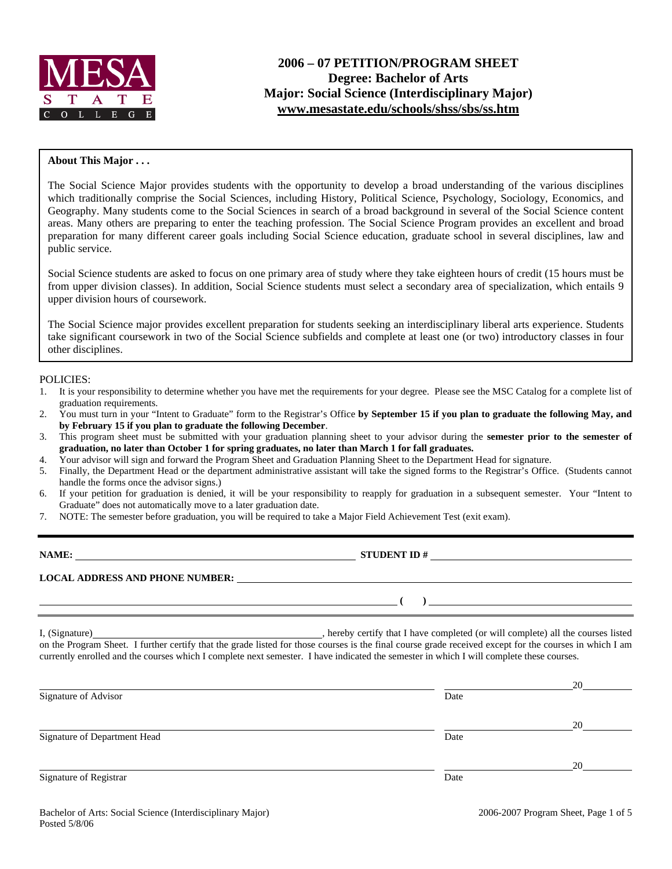

# **2006 – 07 PETITION/PROGRAM SHEET Degree: Bachelor of Arts Major: Social Science (Interdisciplinary Major) [www.mesastate.edu/schools/shss/sbs/ss.htm](http://www.mesastate.edu/schools/shss/sbs/ss.htm)**

### **About This Major . . .**

The Social Science Major provides students with the opportunity to develop a broad understanding of the various disciplines which traditionally comprise the Social Sciences, including History, Political Science, Psychology, Sociology, Economics, and Geography. Many students come to the Social Sciences in search of a broad background in several of the Social Science content areas. Many others are preparing to enter the teaching profession. The Social Science Program provides an excellent and broad preparation for many different career goals including Social Science education, graduate school in several disciplines, law and public service.

Social Science students are asked to focus on one primary area of study where they take eighteen hours of credit (15 hours must be from upper division classes). In addition, Social Science students must select a secondary area of specialization, which entails 9 upper division hours of coursework.

The Social Science major provides excellent preparation for students seeking an interdisciplinary liberal arts experience. Students take significant coursework in two of the Social Science subfields and complete at least one (or two) introductory classes in four other disciplines.

POLICIES:

- 1. It is your responsibility to determine whether you have met the requirements for your degree. Please see the MSC Catalog for a complete list of graduation requirements.
- 2. You must turn in your "Intent to Graduate" form to the Registrar's Office **by September 15 if you plan to graduate the following May, and by February 15 if you plan to graduate the following December**.
- 3. This program sheet must be submitted with your graduation planning sheet to your advisor during the **semester prior to the semester of graduation, no later than October 1 for spring graduates, no later than March 1 for fall graduates.**
- 4. Your advisor will sign and forward the Program Sheet and Graduation Planning Sheet to the Department Head for signature.
- 5. Finally, the Department Head or the department administrative assistant will take the signed forms to the Registrar's Office. (Students cannot handle the forms once the advisor signs.)
- 6. If your petition for graduation is denied, it will be your responsibility to reapply for graduation in a subsequent semester. Your "Intent to Graduate" does not automatically move to a later graduation date.
- 7. NOTE: The semester before graduation, you will be required to take a Major Field Achievement Test (exit exam).

| NAME:                                  | <b>STUDENT ID#</b><br><u>and the state of the state of the state of the state of the state of the state of the state of the state of th</u> |
|----------------------------------------|---------------------------------------------------------------------------------------------------------------------------------------------|
| <b>LOCAL ADDRESS AND PHONE NUMBER:</b> |                                                                                                                                             |
|                                        |                                                                                                                                             |

I, (Signature) **Solution** , hereby certify that I have completed (or will complete) all the courses listed on the Program Sheet. I further certify that the grade listed for those courses is the final course grade received except for the courses in which I am currently enrolled and the courses which I complete next semester. I have indicated the semester in which I will complete these courses.

| Signature of Advisor         | Date | 20 |
|------------------------------|------|----|
|                              |      | 20 |
| Signature of Department Head | Date |    |
|                              |      | 20 |
| Signature of Registrar       | Date |    |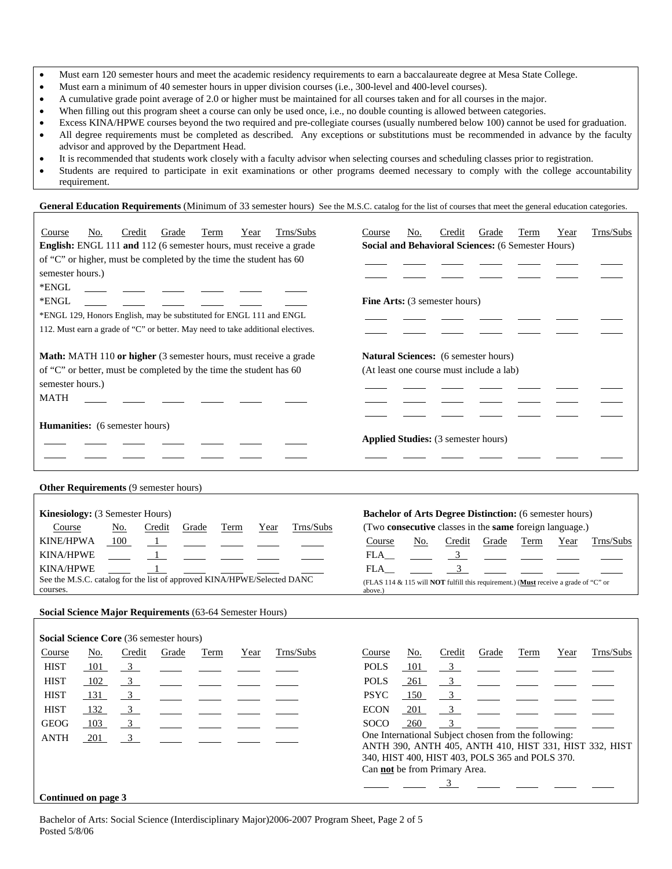- Must earn 120 semester hours and meet the academic residency requirements to earn a baccalaureate degree at Mesa State College.
- Must earn a minimum of 40 semester hours in upper division courses (i.e., 300-level and 400-level courses).
- A cumulative grade point average of 2.0 or higher must be maintained for all courses taken and for all courses in the major.
- When filling out this program sheet a course can only be used once, i.e., no double counting is allowed between categories.
- Excess KINA/HPWE courses beyond the two required and pre-collegiate courses (usually numbered below 100) cannot be used for graduation. • All degree requirements must be completed as described. Any exceptions or substitutions must be recommended in advance by the faculty advisor and approved by the Department Head.
- It is recommended that students work closely with a faculty advisor when selecting courses and scheduling classes prior to registration.
- Students are required to participate in exit examinations or other programs deemed necessary to comply with the college accountability requirement.

General Education Requirements (Minimum of 33 semester hours) See the M.S.C. catalog for the list of courses that meet the general education categories.

| Trns/Subs<br>Credit<br>Course<br>No.<br>Grade<br>Term<br>Year<br>English: ENGL 111 and 112 (6 semester hours, must receive a grade<br>of "C" or higher, must be completed by the time the student has 60<br>semester hours.)<br>*ENGL<br>*ENGL<br>*ENGL 129, Honors English, may be substituted for ENGL 111 and ENGL<br>112. Must earn a grade of "C" or better. May need to take additional electives. | Trns/Subs<br>Credit<br>Grade<br>Term<br>Course<br>No.<br>Year<br><b>Social and Behavioral Sciences: (6 Semester Hours)</b><br>Fine Arts: (3 semester hours)                                                                                                                                                                       |
|----------------------------------------------------------------------------------------------------------------------------------------------------------------------------------------------------------------------------------------------------------------------------------------------------------------------------------------------------------------------------------------------------------|-----------------------------------------------------------------------------------------------------------------------------------------------------------------------------------------------------------------------------------------------------------------------------------------------------------------------------------|
| Math: MATH 110 or higher (3 semester hours, must receive a grade<br>of "C" or better, must be completed by the time the student has 60<br>semester hours.)<br><b>MATH</b>                                                                                                                                                                                                                                | <b>Natural Sciences:</b> (6 semester hours)<br>(At least one course must include a lab)                                                                                                                                                                                                                                           |
| <b>Humanities:</b> (6 semester hours)                                                                                                                                                                                                                                                                                                                                                                    | <b>Applied Studies:</b> (3 semester hours)                                                                                                                                                                                                                                                                                        |
| <b>Other Requirements (9 semester hours)</b>                                                                                                                                                                                                                                                                                                                                                             |                                                                                                                                                                                                                                                                                                                                   |
| Kinesiology: (3 Semester Hours)<br>Trns/Subs<br>Course<br><u>No.</u><br>Credit<br>Grade<br>Term<br>Year<br>100<br><b>KINE/HPWA</b><br>$\frac{1}{2}$<br><b>KINA/HPWE</b><br>$\mathbf{1}$<br><b>KINA/HPWE</b><br>See the M.S.C. catalog for the list of approved KINA/HPWE/Selected DANC<br>courses.                                                                                                       | <b>Bachelor of Arts Degree Distinction:</b> (6 semester hours)<br>(Two consecutive classes in the same foreign language.)<br>Credit<br>Term<br>Trns/Subs<br>Course<br>No.<br>Grade<br>Year<br>3 <sup>7</sup><br>FLA<br>3<br>FLA<br>(FLAS 114 & 115 will NOT fulfill this requirement.) (Must receive a grade of "C" or<br>above.) |
| Social Science Major Requirements (63-64 Semester Hours)                                                                                                                                                                                                                                                                                                                                                 |                                                                                                                                                                                                                                                                                                                                   |

### **Continued on page 3**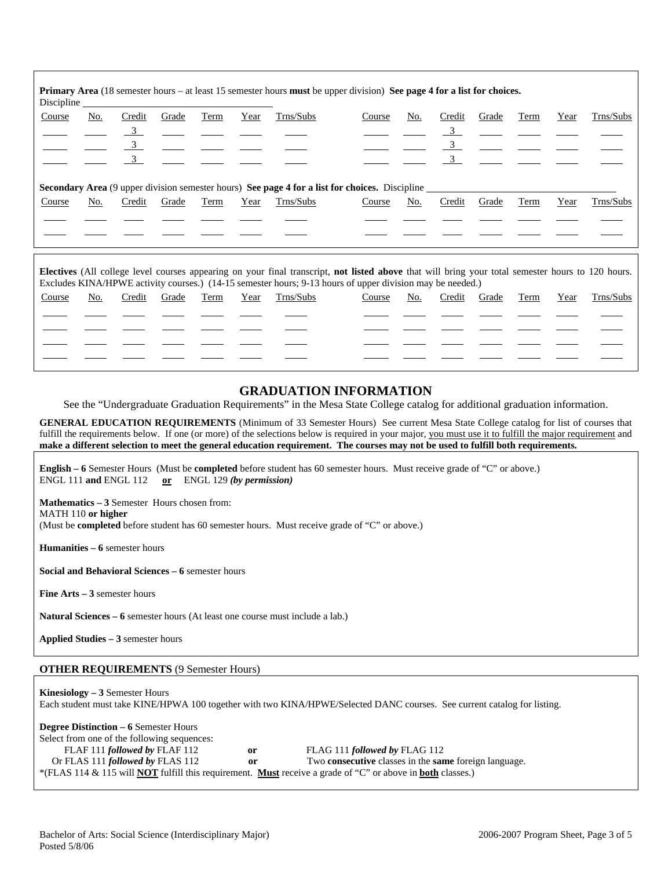| Discipline |                                                                                                       |        |       |      |      |           | <b>Primary Area</b> (18 semester hours – at least 15 semester hours <b>must</b> be upper division) See page 4 for a list for choices. |     |        |       |      |      |           |
|------------|-------------------------------------------------------------------------------------------------------|--------|-------|------|------|-----------|---------------------------------------------------------------------------------------------------------------------------------------|-----|--------|-------|------|------|-----------|
| Course     | No.                                                                                                   | Credit | Grade | Term | Year | Trns/Subs | Course                                                                                                                                | No. | Credit | Grade | Term | Year | Trns/Subs |
|            |                                                                                                       |        |       |      |      |           |                                                                                                                                       |     |        |       |      |      |           |
|            |                                                                                                       | 3      |       |      |      |           |                                                                                                                                       |     |        |       |      |      |           |
|            |                                                                                                       |        |       |      |      |           |                                                                                                                                       |     |        |       |      |      |           |
|            | <b>Secondary Area</b> (9 upper division semester hours) See page 4 for a list for choices. Discipline |        |       |      |      |           |                                                                                                                                       |     |        |       |      |      |           |
| Course     | No.                                                                                                   | Credit | Grade | Term | Year | Trns/Subs | Course                                                                                                                                | No. | Credit | Grade | Term | Year | Trns/Subs |
|            |                                                                                                       |        |       |      |      |           |                                                                                                                                       |     |        |       |      |      |           |
|            |                                                                                                       |        |       |      |      |           |                                                                                                                                       |     |        |       |      |      |           |

**Electives** (All college level courses appearing on your final transcript, **not listed above** that will bring your total semester hours to 120 hours. Excludes KINA/HPWE activity courses.) (14-15 semester hours; 9-13 hours of upper division may be needed.)

| Course | No. | Credit | Grade | Term | Year | Trns/Subs | Course | No. | Credit | Grade | Term | Year | Trns/Subs |
|--------|-----|--------|-------|------|------|-----------|--------|-----|--------|-------|------|------|-----------|
|        |     |        |       |      |      |           |        |     |        |       |      |      |           |
|        |     |        |       |      |      |           |        |     |        |       |      |      |           |
|        |     |        |       |      |      |           |        |     |        |       |      |      |           |
|        |     |        |       |      |      |           |        |     |        |       |      |      |           |
|        |     |        |       |      |      |           |        |     |        |       |      |      |           |

# **GRADUATION INFORMATION**

See the "Undergraduate Graduation Requirements" in the Mesa State College catalog for additional graduation information.

**GENERAL EDUCATION REQUIREMENTS** (Minimum of 33 Semester Hours) See current Mesa State College catalog for list of courses that fulfill the requirements below. If one (or more) of the selections below is required in your major, you must use it to fulfill the major requirement and **make a different selection to meet the general education requirement. The courses may not be used to fulfill both requirements.**

**English – 6** Semester Hours (Must be **completed** before student has 60 semester hours. Must receive grade of "C" or above.) ENGL 111 **and** ENGL 112 **or** ENGL 129 *(by permission)*

**Mathematics – 3** Semester Hours chosen from: MATH 110 **or higher** (Must be **completed** before student has 60 semester hours. Must receive grade of "C" or above.)

**Humanities – 6** semester hours

**Social and Behavioral Sciences – 6** semester hours

**Fine Arts – 3** semester hours

**Natural Sciences – 6** semester hours (At least one course must include a lab.)

**Applied Studies – 3** semester hours

### **OTHER REQUIREMENTS** (9 Semester Hours)

**Kinesiology – 3** Semester Hours Each student must take KINE/HPWA 100 together with two KINA/HPWE/Selected DANC courses. See current catalog for listing.

| <b>Degree Distinction – 6 Semester Hours</b> |    |                                                                                                                                 |
|----------------------------------------------|----|---------------------------------------------------------------------------------------------------------------------------------|
| Select from one of the following sequences:  |    |                                                                                                                                 |
| FLAF 111 followed by FLAF 112                | or | FLAG 111 followed by FLAG 112                                                                                                   |
| Or FLAS 111 <i>followed by</i> FLAS 112      | or | Two <b>consecutive</b> classes in the <b>same</b> foreign language.                                                             |
|                                              |    | *(FLAS 114 & 115 will <b>NOT</b> fulfill this requirement. <b>Must</b> receive a grade of "C" or above in <b>both</b> classes.) |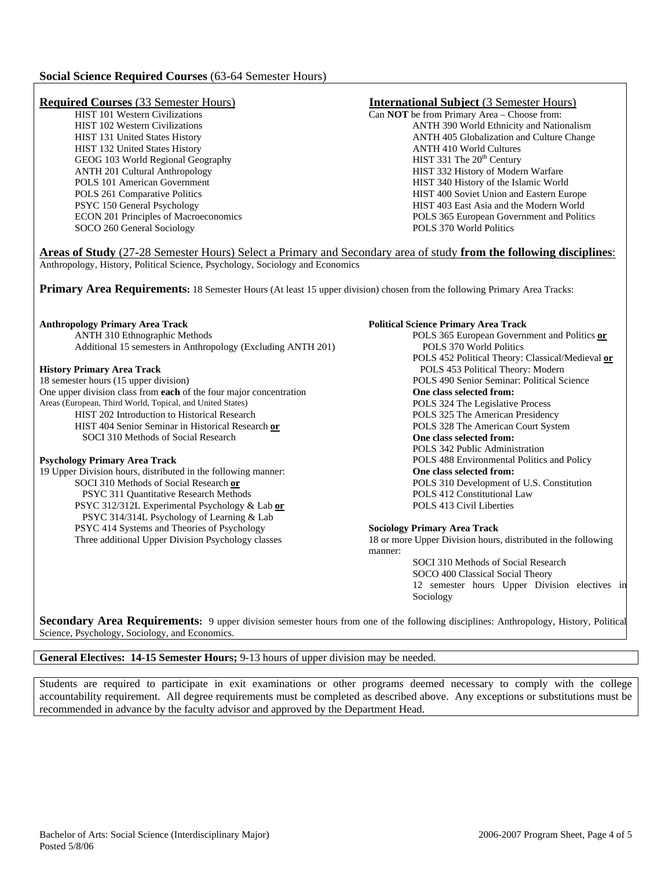### **Social Science Required Courses** (63-64 Semester Hours)

HIST 132 United States History **ANTH 410 World Cultures**<br>
GEOG 103 World Regional Geography **ANTH 410 World Cultures**<br>
HIST 331 The 20<sup>th</sup> Century GEOG 103 World Regional Geography SOCO 260 General Sociology POLS 370 World Politics

# **Required Courses** (33 Semester Hours)<br>
HIST 101 Western Civilizations<br>
Can NOT be from Primary Area – Choose from:

HIST 101 Western Civilizations Can **NOT** be from Primary Area – Choose from:<br>HIST 102 Western Civilizations ANTH 390 World Ethnicity and Natio ANTH 390 World Ethnicity and Nationalism HIST 131 United States History ANTH 405 Globalization and Culture Change ANTH 201 Cultural Anthropology HIST 332 History of Modern Warfare POLS 101 American Government HIST 340 History of the Islamic World POLS 261 Comparative Politics **HIST 400 Soviet Union and Eastern Europe** PSYC 150 General Psychology HIST 403 East Asia and the Modern World ECON 201 Principles of Macroeconomics POLS 365 European Government and Politics

**Areas of Study** (27-28 Semester Hours) Select a Primary and Secondary area of study **from the following disciplines**: Anthropology, History, Political Science, Psychology, Sociology and Economics

**Primary Area Requirements:** 18 Semester Hours (At least 15 upper division) chosen from the following Primary Area Tracks:

ANTH 310 Ethnographic Methods POLS 365 European Government and Politics **or** Additional 15 semesters in Anthropology (Excluding ANTH 201) POLS 370 World Politics

One upper division class from **each** of the four major concentration<br> **One class selected from: One class selected from: One class selected from: POLS 324 The Legislative Process** Areas (European, Third World, Topical, and United States) HIST 202 Introduction to Historical Research POLS 325 The American Presidency HIST 404 Senior Seminar in Historical Research **or** POLS 328 The American Court System SOCI 310 Methods of Social Research **One class selected from:** 

19 Upper Division hours, distributed in the following manner: **One class selected from:**  SOCI 310 Methods of Social Research **or** POLS 310 Development of U.S. Constitution PSYC 311 Quantitative Research Methods POLS 412 Constitutional Law PSYC 312/312L Experimental Psychology & Lab **or** POLS 413 Civil Liberties PSYC 314/314L Psychology of Learning & Lab PSYC 414 Systems and Theories of Psychology **Sociology Primary Area Track** 

### **Anthropology Primary Area Track**  Political Science Primary Area Track **Primary Area Track Primary Area Track Primary Area Track Primary Area Track Primary Area Track Primary Area Track Primary Area Track Pr**

POLS 452 Political Theory: Classical/Medieval **or History Primary Area Track** POLS 453 Political Theory: Modern
18 semester hours (15 upper division)

POLS 490 Senior Seminar: Political Semester hours (15 upper division) POLS 490 Senior Seminar: Political Science POLS 342 Public Administration **Psychology Primary Area Track POLS 488 Environmental Politics and Policy POLS 488 Environmental Politics and Policy** 

Three additional Upper Division Psychology classes 18 or more Upper Division hours, distributed in the following manner:

> SOCI 310 Methods of Social Research SOCO 400 Classical Social Theory 12 semester hours Upper Division electives in Sociology

**Secondary Area Requirements:** 9 upper division semester hours from one of the following disciplines: Anthropology, History, Political Science, Psychology, Sociology, and Economics.

### **General Electives: 14-15 Semester Hours;** 9-13 hours of upper division may be needed.

Students are required to participate in exit examinations or other programs deemed necessary to comply with the college accountability requirement. All degree requirements must be completed as described above. Any exceptions or substitutions must be recommended in advance by the faculty advisor and approved by the Department Head.